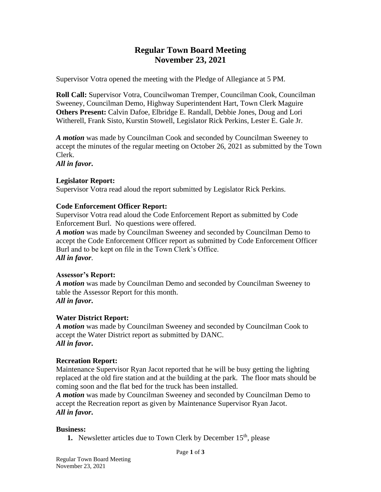# **Regular Town Board Meeting November 23, 2021**

Supervisor Votra opened the meeting with the Pledge of Allegiance at 5 PM.

**Roll Call:** Supervisor Votra, Councilwoman Tremper, Councilman Cook, Councilman Sweeney, Councilman Demo, Highway Superintendent Hart, Town Clerk Maguire **Others Present:** Calvin Dafoe, Elbridge E. Randall, Debbie Jones, Doug and Lori Witherell, Frank Sisto, Kurstin Stowell, Legislator Rick Perkins, Lester E. Gale Jr.

*A motion* was made by Councilman Cook and seconded by Councilman Sweeney to accept the minutes of the regular meeting on October 26, 2021 as submitted by the Town Clerk. *All in favor***.**

# **Legislator Report:**

Supervisor Votra read aloud the report submitted by Legislator Rick Perkins.

### **Code Enforcement Officer Report:**

Supervisor Votra read aloud the Code Enforcement Report as submitted by Code Enforcement Burl. No questions were offered.

*A motion* was made by Councilman Sweeney and seconded by Councilman Demo to accept the Code Enforcement Officer report as submitted by Code Enforcement Officer Burl and to be kept on file in the Town Clerk's Office. *All in favor*.

#### **Assessor's Report:**

*A motion* was made by Councilman Demo and seconded by Councilman Sweeney to table the Assessor Report for this month. *All in favor***.**

#### **Water District Report:**

*A motion* was made by Councilman Sweeney and seconded by Councilman Cook to accept the Water District report as submitted by DANC. *All in favor***.**

#### **Recreation Report:**

Maintenance Supervisor Ryan Jacot reported that he will be busy getting the lighting replaced at the old fire station and at the building at the park. The floor mats should be coming soon and the flat bed for the truck has been installed.

*A motion* was made by Councilman Sweeney and seconded by Councilman Demo to accept the Recreation report as given by Maintenance Supervisor Ryan Jacot. *All in favor***.**

#### **Business:**

**1.** Newsletter articles due to Town Clerk by December 15<sup>th</sup>, please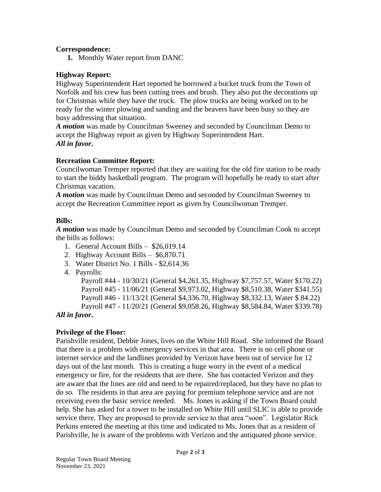## **Correspondence:**

**1.** Monthly Water report from DANC

## **Highway Report:**

Highway Superintendent Hart reported he borrowed a bucket truck from the Town of Norfolk and his crew has been cutting trees and brush. They also put the decorations up for Christmas while they have the truck. The plow trucks are being worked on to be ready for the winter plowing and sanding and the beavers have been busy so they are busy addressing that situation.

*A motion* was made by Councilman Sweeney and seconded by Councilman Demo to accept the Highway report as given by Highway Superintendent Hart. *All in favor***.**

### **Recreation Committee Report:**

Councilwoman Tremper reported that they are waiting for the old fire station to be ready to start the biddy basketball program. The program will hopefully be ready to start after Christmas vacation.

*A motion* was made by Councilman Demo and seconded by Councilman Sweeney to accept the Recreation Committee report as given by Councilwoman Tremper.

### **Bills:**

*A motion* was made by Councilman Demo and seconded by Councilman Cook to accept the bills as follows:

- 1. General Account Bills \$26,019.14
- 2. Highway Account Bills \$6,870.71
- 3. Water District No. 1 Bills \$2,614.36
- 4. Payrolls:

Payroll #44 - 10/30/21 (General \$4,261.35, Highway \$7,757.57, Water \$170.22) Payroll #45 - 11/06/21 (General \$9,973.02, Highway \$8,510.38, Water \$341.55) Payroll #46 - 11/13/21 (General \$4,336.70, Highway \$8,332.13, Water \$ 84.22) Payroll #47 - 11/20/21 (General \$9,058.26, Highway \$8,584.84, Water \$339.78)

# *All in favor***.**

# **Privilege of the Floor:**

Parishville resident, Debbie Jones, lives on the White Hill Road. She informed the Board that there is a problem with emergency services in that area. There is no cell phone or internet service and the landlines provided by Verizon have been out of service for 12 days out of the last month. This is creating a huge worry in the event of a medical emergency or fire, for the residents that are there. She has contacted Verizon and they are aware that the lines are old and need to be repaired/replaced, but they have no plan to do so. The residents in that area are paying for premium telephone service and are not receiving even the basic service needed. Ms. Jones is asking if the Town Board could help. She has asked for a tower to be installed on White Hill until SLIC is able to provide service there. They are proposed to provide service to that area "soon". Legislator Rick Perkins entered the meeting at this time and indicated to Ms. Jones that as a resident of Parishville, he is aware of the problems with Verizon and the antiquated phone service.